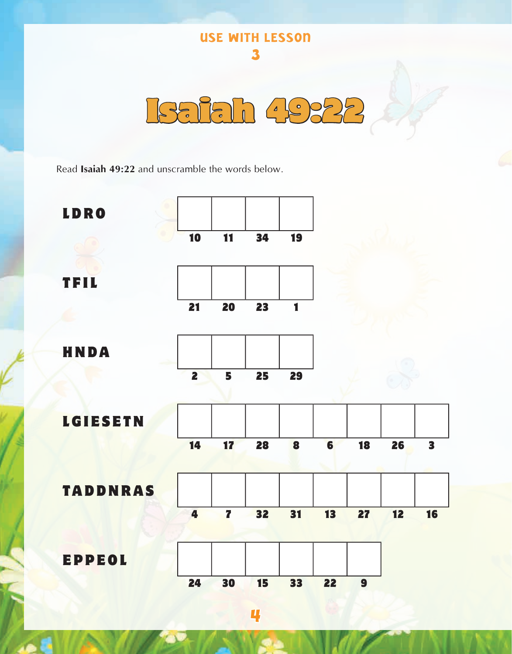

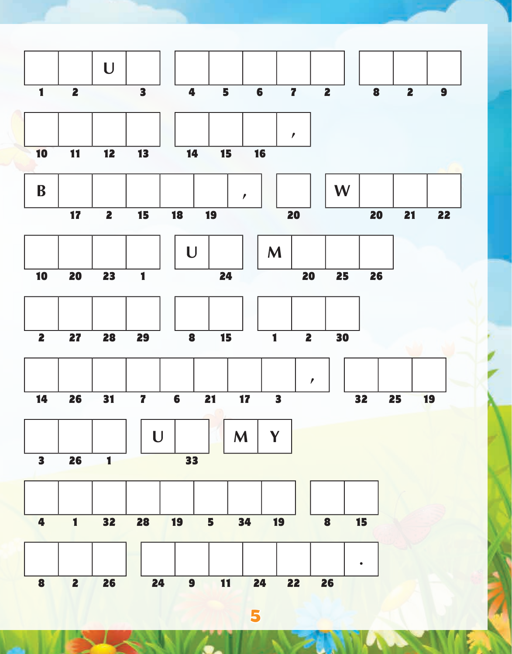

5